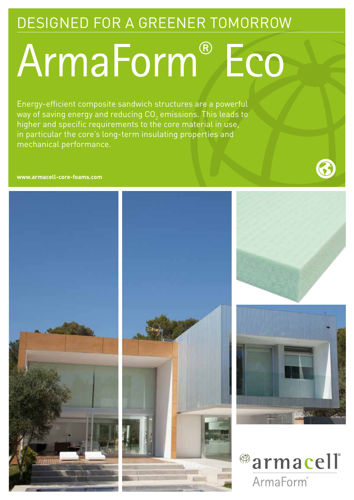### DESIGNED FOR A GREENER TOMORROW

## ArmaForm® Eco

Energy-efficient composite sandwich structures are a powerful way of saving energy and reducing CO $_{\rm 2}$  emissions. This leads to higher and specific requirements to the core material in use, in particular the core's long-term insulating properties and mechanical performance.

#### **www.armacell-core-foams.com**









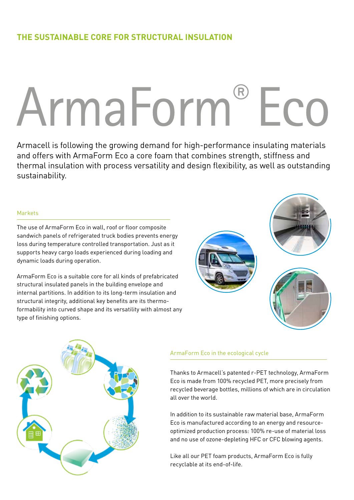#### **THE SUSTAINABLE CORE FOR STRUCTURAL INSULATION**

# ArmaForm® Eco

Armacell is following the growing demand for high-performance insulating materials and offers with ArmaForm Eco a core foam that combines strength, stiffness and thermal insulation with process versatility and design flexibility, as well as outstanding sustainability.

#### Markets

The use of ArmaForm Eco in wall, roof or floor composite sandwich panels of refrigerated truck bodies prevents energy loss during temperature controlled transportation. Just as it supports heavy cargo loads experienced during loading and dynamic loads during operation.

ArmaForm Eco is a suitable core for all kinds of prefabricated structural insulated panels in the building envelope and internal partitions. In addition to its long-term insulation and structural integrity, additional key benefits are its thermoformability into curved shape and its versatility with almost any type of finishing options.

#### ArmaForm Eco in the ecological cycle

Thanks to Armacell's patented r-PET technology, ArmaForm Eco is made from 100% recycled PET, more precisely from recycled beverage bottles, millions of which are in circulation all over the world.

In addition to its sustainable raw material base, ArmaForm Eco is manufactured according to an energy and resourceoptimized production process: 100% re-use of material loss and no use of ozone-depleting HFC or CFC blowing agents.

Like all our PET foam products, ArmaForm Eco is fully recyclable at its end-of-life.

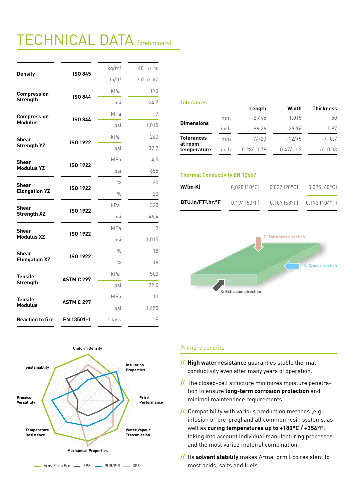## TECHNICAL DATA (preliminary)

| <b>Density</b>                        | <b>ISO 845</b>    | kg/m <sup>3</sup>  | 48<br>$+/- 10$ |
|---------------------------------------|-------------------|--------------------|----------------|
|                                       |                   | lb/ft <sup>3</sup> | $3.0 +/- 0.6$  |
| <b>Compression</b><br><b>Strength</b> | <b>ISO 844</b>    | kPa                | 170            |
|                                       |                   | psi                | 24.7           |
| Compression<br><b>Modulus</b>         | <b>ISO 844</b>    | <b>MPa</b>         | 7              |
|                                       |                   | psi                | 1,015          |
| Shear<br><b>Strength YZ</b>           | <b>ISO 1922</b>   | kPa                | 260            |
|                                       |                   | psi                | 37.7           |
| <b>Shear</b><br><b>Modulus YZ</b>     | <b>ISO 1922</b>   | <b>MPa</b>         | 4,5            |
|                                       |                   | psi                | 655            |
| Shear<br><b>Elongation YZ</b>         | <b>ISO 1922</b>   | %                  | 20             |
|                                       |                   | $\frac{0}{0}$      | 20             |
| <b>Shear</b><br><b>Strength XZ</b>    | <b>ISO 1922</b>   | kPa                | 320            |
|                                       |                   | psi                | 46,4           |
| <b>Shear</b><br><b>Modulus XZ</b>     | <b>ISO 1922</b>   | <b>MPa</b>         | 7              |
|                                       |                   | psi                | 1,015          |
| <b>Shear</b><br><b>Elongation XZ</b>  | <b>ISO 1922</b>   | $\frac{0}{0}$      | 18             |
|                                       |                   | $\frac{0}{0}$      | 18             |
| <b>Tensile</b><br><b>Strength</b>     | <b>ASTM C 297</b> | kPa                | 500            |
|                                       |                   | psi                | 72.5           |
| <b>Tensile</b><br><b>Modulus</b>      | <b>ASTM C 297</b> | <b>MPa</b>         | 10             |
|                                       |                   | psi                | 1,450          |
| <b>Reaction to fire</b>               | EN 13501-1        | Class              | Е              |

#### **Tolerances**

| 2.445<br>1.015<br>mm                                                          | <b>Thickness</b> |
|-------------------------------------------------------------------------------|------------------|
|                                                                               | 50               |
| <b>Dimensions</b><br>39.96<br>inch<br>96.26                                   | 1.97             |
| <b>Tolerances</b><br>$-7/+20$<br>$-12/+5$<br>mm                               | $+/- 0.7$        |
| at room<br>$-0.28/+0.79$<br>$-0.47/+0.2$<br>$+/- 0.03$<br>inch<br>temperature |                  |

#### **Thermal Conductivity EN 12667**

| $W/(m-K)$                     | $0,028$ $(10^{\circ}$ C) | $0,027$ (20°C) | $0.025(40^{\circ}C)$               |
|-------------------------------|--------------------------|----------------|------------------------------------|
| BTU.in/FT <sup>2</sup> .hr.°F | $0.194$ (50°F)           |                | $0.187(68^{\circ}F)$ 0.173 (104°F) |





#### Primary benefits

- **// High water resistance** guaranties stable thermal conductivity even after many years of operation.
- **//** The closed-cell structure minimizes moisture penetra tion to ensure **long-term corrosion protection** and minimal maintenance requirements.
- **//** Compatibility with various production methods (e.g. infusion or pre-preg) and all common resin systems, as well as **curing temperatures up to +180°C / +356°F**, taking into account individual manufacturing processes and the most varied material combination.
- **//** Its **solvent stability** makes ArmaForm Eco resistant to most acids, salts and fuels.